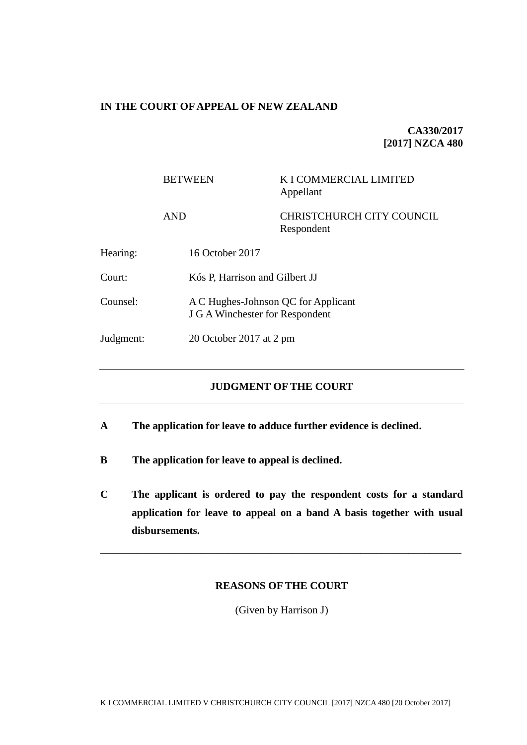# **IN THE COURT OF APPEAL OF NEW ZEALAND**

**CA330/2017 [2017] NZCA 480**

|           | <b>BETWEEN</b>  | K I COMMERCIAL LIMITED<br>Appellant                                           |  |
|-----------|-----------------|-------------------------------------------------------------------------------|--|
|           | <b>AND</b>      | <b>CHRISTCHURCH CITY COUNCIL</b><br>Respondent                                |  |
| Hearing:  | 16 October 2017 |                                                                               |  |
| Court:    |                 | Kós P, Harrison and Gilbert JJ                                                |  |
| Counsel:  |                 | A C Hughes-Johnson QC for Applicant<br><b>J G A Winchester for Respondent</b> |  |
| Judgment: |                 | 20 October 2017 at 2 pm                                                       |  |

## **JUDGMENT OF THE COURT**

- **A The application for leave to adduce further evidence is declined.**
- **B The application for leave to appeal is declined.**
- **C The applicant is ordered to pay the respondent costs for a standard application for leave to appeal on a band A basis together with usual disbursements.**

## **REASONS OF THE COURT**

\_\_\_\_\_\_\_\_\_\_\_\_\_\_\_\_\_\_\_\_\_\_\_\_\_\_\_\_\_\_\_\_\_\_\_\_\_\_\_\_\_\_\_\_\_\_\_\_\_\_\_\_\_\_\_\_\_\_\_\_\_\_\_\_\_\_\_\_

(Given by Harrison J)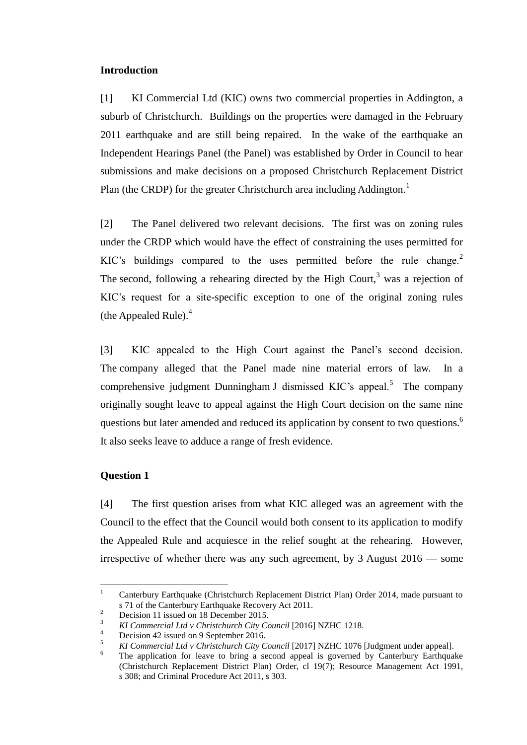## **Introduction**

[1] KI Commercial Ltd (KIC) owns two commercial properties in Addington, a suburb of Christchurch. Buildings on the properties were damaged in the February 2011 earthquake and are still being repaired. In the wake of the earthquake an Independent Hearings Panel (the Panel) was established by Order in Council to hear submissions and make decisions on a proposed Christchurch Replacement District Plan (the CRDP) for the greater Christchurch area including Addington.<sup>1</sup>

[2] The Panel delivered two relevant decisions. The first was on zoning rules under the CRDP which would have the effect of constraining the uses permitted for KIC's buildings compared to the uses permitted before the rule change.<sup>2</sup> The second, following a rehearing directed by the High Court,<sup>3</sup> was a rejection of KIC's request for a site-specific exception to one of the original zoning rules (the Appealed Rule). $<sup>4</sup>$ </sup>

[3] KIC appealed to the High Court against the Panel's second decision. The company alleged that the Panel made nine material errors of law. In a comprehensive judgment Dunningham J dismissed KIC's appeal.<sup>5</sup> The company originally sought leave to appeal against the High Court decision on the same nine questions but later amended and reduced its application by consent to two questions.<sup>6</sup> It also seeks leave to adduce a range of fresh evidence.

## **Question 1**

[4] The first question arises from what KIC alleged was an agreement with the Council to the effect that the Council would both consent to its application to modify the Appealed Rule and acquiesce in the relief sought at the rehearing. However, irrespective of whether there was any such agreement, by 3 August 2016 — some

 $\mathbf{1}$ <sup>1</sup> Canterbury Earthquake (Christchurch Replacement District Plan) Order 2014, made pursuant to s 71 of the Canterbury Earthquake Recovery Act 2011.

<sup>&</sup>lt;sup>2</sup> Decision 11 issued on 18 December 2015.

<sup>&</sup>lt;sup>3</sup> *KI Commercial Ltd v Christchurch City Council* [2016] NZHC 1218.

 $^{4}$  Decision 42 issued on 9 September 2016.

<sup>5</sup> *KI Commercial Ltd v Christchurch City Council* [2017] NZHC 1076 [Judgment under appeal].

<sup>6</sup> The application for leave to bring a second appeal is governed by Canterbury Earthquake (Christchurch Replacement District Plan) Order, cl 19(7); Resource Management Act 1991, s 308; and Criminal Procedure Act 2011, s 303.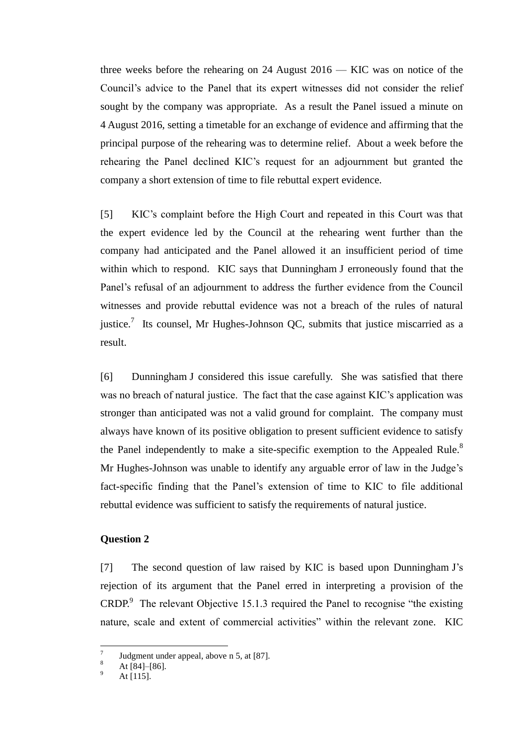three weeks before the rehearing on 24 August 2016 — KIC was on notice of the Council's advice to the Panel that its expert witnesses did not consider the relief sought by the company was appropriate. As a result the Panel issued a minute on 4 August 2016, setting a timetable for an exchange of evidence and affirming that the principal purpose of the rehearing was to determine relief. About a week before the rehearing the Panel declined KIC's request for an adjournment but granted the company a short extension of time to file rebuttal expert evidence.

[5] KIC's complaint before the High Court and repeated in this Court was that the expert evidence led by the Council at the rehearing went further than the company had anticipated and the Panel allowed it an insufficient period of time within which to respond. KIC says that Dunningham J erroneously found that the Panel's refusal of an adjournment to address the further evidence from the Council witnesses and provide rebuttal evidence was not a breach of the rules of natural justice.<sup>7</sup> Its counsel, Mr Hughes-Johnson QC, submits that justice miscarried as a result.

[6] Dunningham J considered this issue carefully. She was satisfied that there was no breach of natural justice. The fact that the case against KIC's application was stronger than anticipated was not a valid ground for complaint. The company must always have known of its positive obligation to present sufficient evidence to satisfy the Panel independently to make a site-specific exemption to the Appealed Rule. $8$ Mr Hughes-Johnson was unable to identify any arguable error of law in the Judge's fact-specific finding that the Panel's extension of time to KIC to file additional rebuttal evidence was sufficient to satisfy the requirements of natural justice.

#### **Question 2**

[7] The second question of law raised by KIC is based upon Dunningham J's rejection of its argument that the Panel erred in interpreting a provision of the CRDP. $9$  The relevant Objective 15.1.3 required the Panel to recognise "the existing nature, scale and extent of commercial activities" within the relevant zone. KIC

 $\overline{a}$ 

<sup>7</sup> Judgment under appeal, above n 5, at [87].

At [84]–[86].

At  $[115]$ .